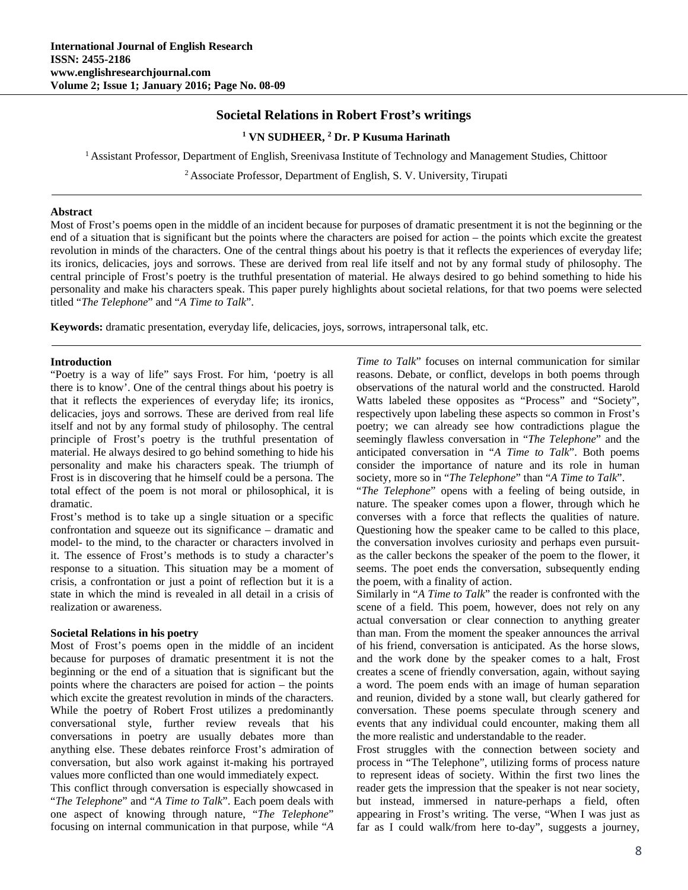# **Societal Relations in Robert Frost's writings**

<sup>1</sup> VN SUDHEER, <sup>2</sup> Dr. P Kusuma Harinath

1 Assistant Professor, Department of English, Sreenivasa Institute of Technology and Management Studies, Chittoor

2 Associate Professor, Department of English, S. V. University, Tirupati

#### **Abstract**

Most of Frost's poems open in the middle of an incident because for purposes of dramatic presentment it is not the beginning or the end of a situation that is significant but the points where the characters are poised for action – the points which excite the greatest revolution in minds of the characters. One of the central things about his poetry is that it reflects the experiences of everyday life; its ironics, delicacies, joys and sorrows. These are derived from real life itself and not by any formal study of philosophy. The central principle of Frost's poetry is the truthful presentation of material. He always desired to go behind something to hide his personality and make his characters speak. This paper purely highlights about societal relations, for that two poems were selected titled "*The Telephone*" and "*A Time to Talk*".

**Keywords:** dramatic presentation, everyday life, delicacies, joys, sorrows, intrapersonal talk, etc.

### **Introduction**

"Poetry is a way of life" says Frost. For him, 'poetry is all there is to know'. One of the central things about his poetry is that it reflects the experiences of everyday life; its ironics, delicacies, joys and sorrows. These are derived from real life itself and not by any formal study of philosophy. The central principle of Frost's poetry is the truthful presentation of material. He always desired to go behind something to hide his personality and make his characters speak. The triumph of Frost is in discovering that he himself could be a persona. The total effect of the poem is not moral or philosophical, it is dramatic.

Frost's method is to take up a single situation or a specific confrontation and squeeze out its significance – dramatic and model- to the mind, to the character or characters involved in it. The essence of Frost's methods is to study a character's response to a situation. This situation may be a moment of crisis, a confrontation or just a point of reflection but it is a state in which the mind is revealed in all detail in a crisis of realization or awareness.

### **Societal Relations in his poetry**

Most of Frost's poems open in the middle of an incident because for purposes of dramatic presentment it is not the beginning or the end of a situation that is significant but the points where the characters are poised for action – the points which excite the greatest revolution in minds of the characters. While the poetry of Robert Frost utilizes a predominantly conversational style, further review reveals that his conversations in poetry are usually debates more than anything else. These debates reinforce Frost's admiration of conversation, but also work against it-making his portrayed values more conflicted than one would immediately expect.

This conflict through conversation is especially showcased in "*The Telephone*" and "*A Time to Talk*". Each poem deals with one aspect of knowing through nature, "*The Telephone*" focusing on internal communication in that purpose, while "*A* 

*Time to Talk*" focuses on internal communication for similar reasons. Debate, or conflict, develops in both poems through observations of the natural world and the constructed. Harold Watts labeled these opposites as "Process" and "Society", respectively upon labeling these aspects so common in Frost's poetry; we can already see how contradictions plague the seemingly flawless conversation in "*The Telephone*" and the anticipated conversation in "*A Time to Talk*". Both poems consider the importance of nature and its role in human society, more so in "*The Telephone*" than "*A Time to Talk*".

"*The Telephone*" opens with a feeling of being outside, in nature. The speaker comes upon a flower, through which he converses with a force that reflects the qualities of nature. Questioning how the speaker came to be called to this place, the conversation involves curiosity and perhaps even pursuitas the caller beckons the speaker of the poem to the flower, it seems. The poet ends the conversation, subsequently ending the poem, with a finality of action.

Similarly in "*A Time to Talk*" the reader is confronted with the scene of a field. This poem, however, does not rely on any actual conversation or clear connection to anything greater than man. From the moment the speaker announces the arrival of his friend, conversation is anticipated. As the horse slows, and the work done by the speaker comes to a halt, Frost creates a scene of friendly conversation, again, without saying a word. The poem ends with an image of human separation and reunion, divided by a stone wall, but clearly gathered for conversation. These poems speculate through scenery and events that any individual could encounter, making them all the more realistic and understandable to the reader.

Frost struggles with the connection between society and process in "The Telephone", utilizing forms of process nature to represent ideas of society. Within the first two lines the reader gets the impression that the speaker is not near society, but instead, immersed in nature-perhaps a field, often appearing in Frost's writing. The verse, "When I was just as far as I could walk/from here to-day", suggests a journey,